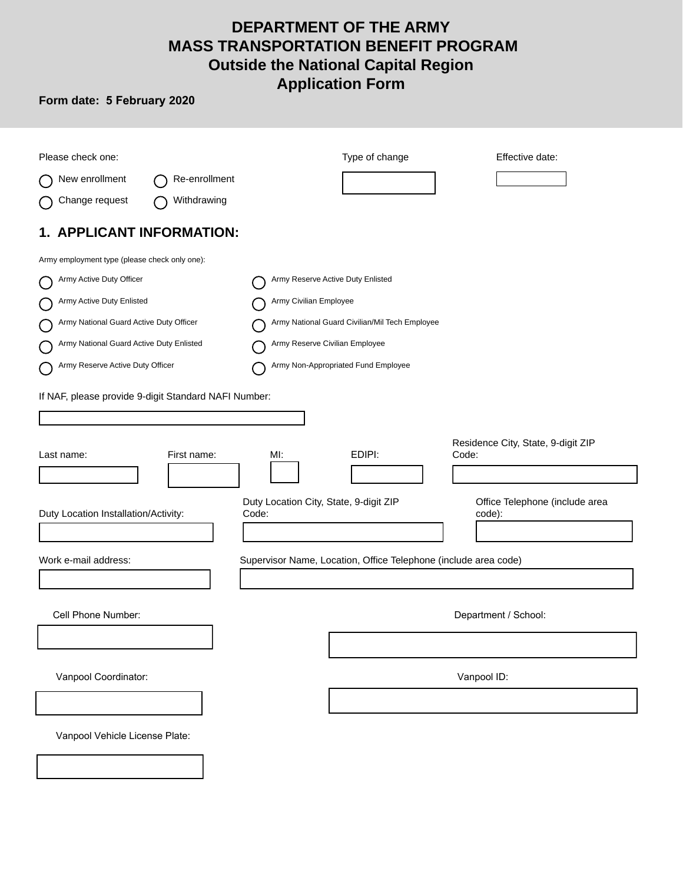# **DEPARTMENT OF THE ARMY MASS TRANSPORTATION BENEFIT PROGRAM Outside the National Capital Region Application Form**

## **Form date: 5 February 2020**

| Please check one:                                    | Type of change<br>Effective date:                                                  |
|------------------------------------------------------|------------------------------------------------------------------------------------|
| New enrollment<br>Re-enrollment                      |                                                                                    |
| Withdrawing<br>Change request                        |                                                                                    |
| 1. APPLICANT INFORMATION:                            |                                                                                    |
| Army employment type (please check only one):        |                                                                                    |
| Army Active Duty Officer                             | Army Reserve Active Duty Enlisted                                                  |
| Army Active Duty Enlisted                            | Army Civilian Employee                                                             |
| Army National Guard Active Duty Officer              | Army National Guard Civilian/Mil Tech Employee                                     |
| Army National Guard Active Duty Enlisted             | Army Reserve Civilian Employee                                                     |
| Army Reserve Active Duty Officer                     | Army Non-Appropriated Fund Employee                                                |
| If NAF, please provide 9-digit Standard NAFI Number: |                                                                                    |
|                                                      |                                                                                    |
| First name:<br>Last name:                            | Residence City, State, 9-digit ZIP<br>EDIPI:<br>MI:<br>Code:                       |
|                                                      |                                                                                    |
| Duty Location Installation/Activity:<br>Code:        | Duty Location City, State, 9-digit ZIP<br>Office Telephone (include area<br>code): |
|                                                      |                                                                                    |
| Work e-mail address:                                 | Supervisor Name, Location, Office Telephone (include area code)                    |
|                                                      |                                                                                    |
| Cell Phone Number:                                   | Department / School:                                                               |
|                                                      |                                                                                    |
| Vanpool Coordinator:                                 | Vanpool ID:                                                                        |
|                                                      |                                                                                    |
| Vanpool Vehicle License Plate:                       |                                                                                    |
|                                                      |                                                                                    |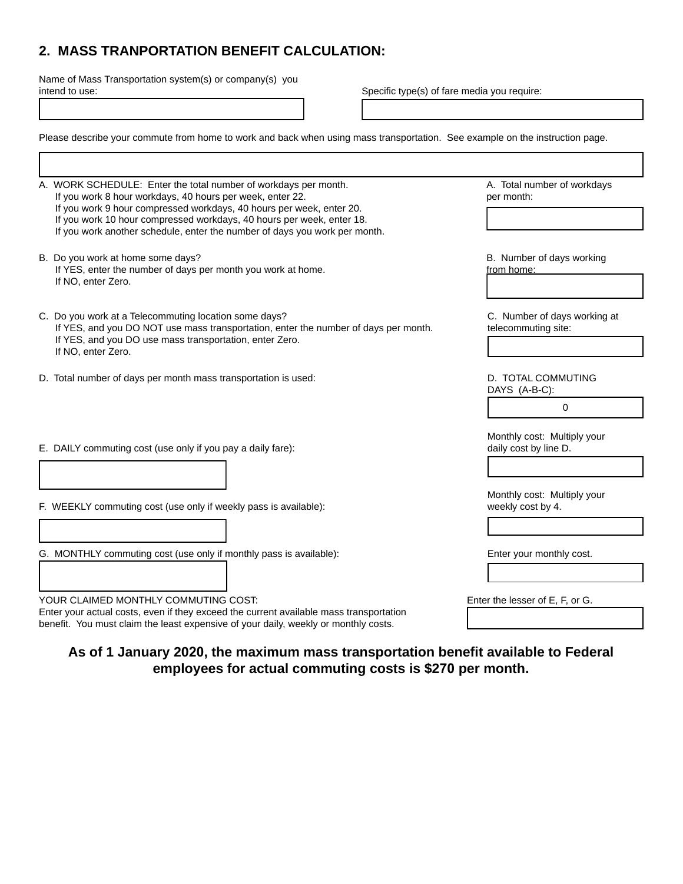## **2. MASS TRANPORTATION BENEFIT CALCULATION:**

Name of Mass Transportation system(s) or company(s) you intend to use:

Specific type(s) of fare media you require:

| Please describe your commute from home to work and back when using mass transportation. See example on the instruction page.                                                                                                                                                                                                                                |                                                      |
|-------------------------------------------------------------------------------------------------------------------------------------------------------------------------------------------------------------------------------------------------------------------------------------------------------------------------------------------------------------|------------------------------------------------------|
|                                                                                                                                                                                                                                                                                                                                                             |                                                      |
| A. WORK SCHEDULE: Enter the total number of workdays per month.<br>If you work 8 hour workdays, 40 hours per week, enter 22.<br>If you work 9 hour compressed workdays, 40 hours per week, enter 20.<br>If you work 10 hour compressed workdays, 40 hours per week, enter 18.<br>If you work another schedule, enter the number of days you work per month. | A. Total number of workdays<br>per month:            |
| B. Do you work at home some days?<br>If YES, enter the number of days per month you work at home.<br>If NO, enter Zero.                                                                                                                                                                                                                                     | B. Number of days working<br>from home:              |
| C. Do you work at a Telecommuting location some days?<br>If YES, and you DO NOT use mass transportation, enter the number of days per month.<br>If YES, and you DO use mass transportation, enter Zero.<br>If NO, enter Zero.                                                                                                                               | C. Number of days working at<br>telecommuting site:  |
| D. Total number of days per month mass transportation is used:                                                                                                                                                                                                                                                                                              | D. TOTAL COMMUTING<br>DAYS (A-B-C):<br>0             |
| E. DAILY commuting cost (use only if you pay a daily fare):                                                                                                                                                                                                                                                                                                 | Monthly cost: Multiply your<br>daily cost by line D. |
| F. WEEKLY commuting cost (use only if weekly pass is available):                                                                                                                                                                                                                                                                                            | Monthly cost: Multiply your<br>weekly cost by 4.     |
| G. MONTHLY commuting cost (use only if monthly pass is available):                                                                                                                                                                                                                                                                                          | Enter your monthly cost.                             |
| YOUR CLAIMED MONTHLY COMMUTING COST:<br>Enter your actual costs, even if they exceed the current available mass transportation<br>benefit. You must claim the least expensive of your daily, weekly or monthly costs.                                                                                                                                       | Enter the lesser of E, F, or G.                      |

### **As of 1 January 2020, the maximum mass transportation benefit available to Federal employees for actual commuting costs is \$270 per month.**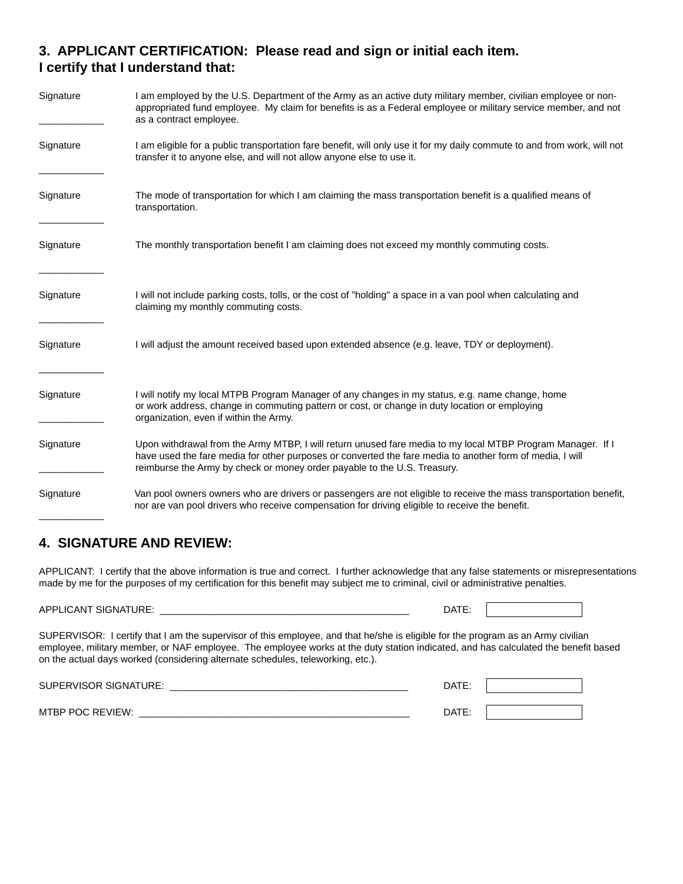## **3. APPLICANT CERTIFICATION: Please read and sign or initial each item. I certify that I understand that:**

| Signature | I am employed by the U.S. Department of the Army as an active duty military member, civilian employee or non-<br>appropriated fund employee. My claim for benefits is as a Federal employee or military service member, and not<br>as a contract employee.                                         |
|-----------|----------------------------------------------------------------------------------------------------------------------------------------------------------------------------------------------------------------------------------------------------------------------------------------------------|
| Signature | I am eligible for a public transportation fare benefit, will only use it for my daily commute to and from work, will not<br>transfer it to anyone else, and will not allow anyone else to use it.                                                                                                  |
| Signature | The mode of transportation for which I am claiming the mass transportation benefit is a qualified means of<br>transportation.                                                                                                                                                                      |
| Signature | The monthly transportation benefit I am claiming does not exceed my monthly commuting costs.                                                                                                                                                                                                       |
| Signature | I will not include parking costs, tolls, or the cost of "holding" a space in a van pool when calculating and<br>claiming my monthly commuting costs.                                                                                                                                               |
| Signature | I will adjust the amount received based upon extended absence (e.g. leave, TDY or deployment).                                                                                                                                                                                                     |
| Signature | I will notify my local MTPB Program Manager of any changes in my status, e.g. name change, home<br>or work address, change in commuting pattern or cost, or change in duty location or employing<br>organization, even if within the Army.                                                         |
| Signature | Upon withdrawal from the Army MTBP, I will return unused fare media to my local MTBP Program Manager. If I<br>have used the fare media for other purposes or converted the fare media to another form of media, I will<br>reimburse the Army by check or money order payable to the U.S. Treasury. |
| Signature | Van pool owners owners who are drivers or passengers are not eligible to receive the mass transportation benefit,<br>nor are van pool drivers who receive compensation for driving eligible to receive the benefit.                                                                                |

### **4. SIGNATURE AND REVIEW:**

APPLICANT: I certify that the above information is true and correct. I further acknowledge that any false statements or misrepresentations made by me for the purposes of my certification for this benefit may subject me to criminal, civil or administrative penalties.

| APPLICANT SIGNATURE:                                                                                                             | DATE: |  |
|----------------------------------------------------------------------------------------------------------------------------------|-------|--|
| SUPERVISOR: I certify that I am the supervisor of this employee, and that he/she is eligible for the program as an Army civilian |       |  |
|                                                                                                                                  |       |  |

employee, military member, or NAF employee. The employee works at the duty station indicated, and has calculated the benefit based on the actual days worked (considering alternate schedules, teleworking, etc.).

| SUPERVISOR SIGNATURE: | DATE: |  |
|-----------------------|-------|--|
| MTBP POC REVIEW:      | DATE: |  |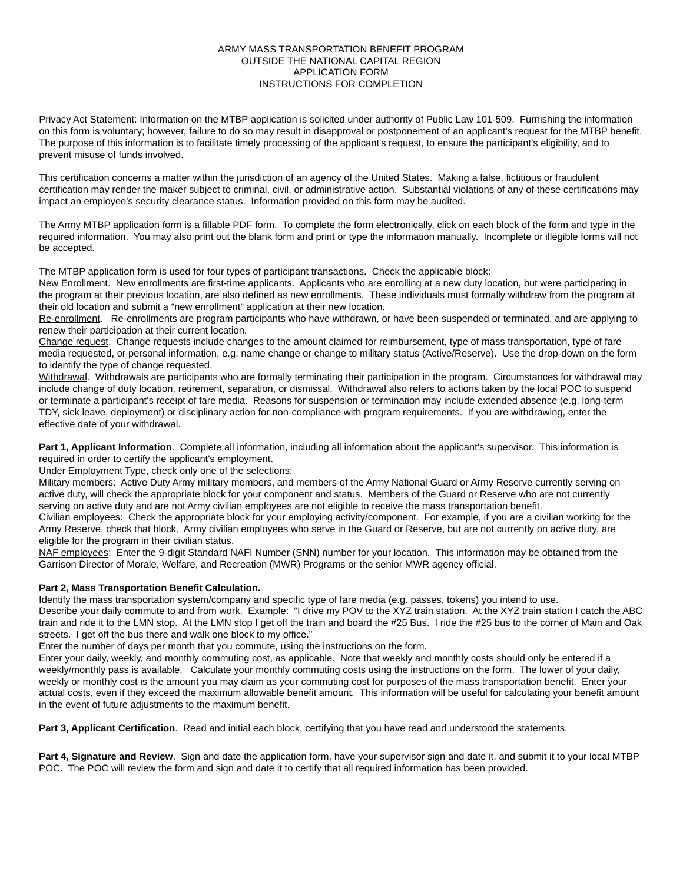#### ARMY MASS TRANSPORTATION BENEFIT PROGRAM OUTSIDE THE NATIONAL CAPITAL REGION APPLICATION FORM INSTRUCTIONS FOR COMPLETION

Privacy Act Statement: Information on the MTBP application is solicited under authority of Public Law 101-509. Furnishing the information on this form is voluntary; however, failure to do so may result in disapproval or postponement of an applicant's request for the MTBP benefit. The purpose of this information is to facilitate timely processing of the applicant's request, to ensure the participant's eligibility, and to prevent misuse of funds involved.

This certification concerns a matter within the jurisdiction of an agency of the United States. Making a false, fictitious or fraudulent certification may render the maker subject to criminal, civil, or administrative action. Substantial violations of any of these certifications may impact an employee's security clearance status. Information provided on this form may be audited.

The Army MTBP application form is a fillable PDF form. To complete the form electronically, click on each block of the form and type in the required information. You may also print out the blank form and print or type the information manually. Incomplete or illegible forms will not be accepted.

The MTBP application form is used for four types of participant transactions. Check the applicable block:

New Enrollment. New enrollments are first-time applicants. Applicants who are enrolling at a new duty location, but were participating in the program at their previous location, are also defined as new enrollments. These individuals must formally withdraw from the program at their old location and submit a "new enrollment" application at their new location.

Re-enrollment. Re-enrollments are program participants who have withdrawn, or have been suspended or terminated, and are applying to renew their participation at their current location.

Change request. Change requests include changes to the amount claimed for reimbursement, type of mass transportation, type of fare media requested, or personal information, e.g. name change or change to military status (Active/Reserve). Use the drop-down on the form to identify the type of change requested.

Withdrawal. Withdrawals are participants who are formally terminating their participation in the program. Circumstances for withdrawal may include change of duty location, retirement, separation, or dismissal. Withdrawal also refers to actions taken by the local POC to suspend or terminate a participant's receipt of fare media. Reasons for suspension or termination may include extended absence (e.g. long-term TDY, sick leave, deployment) or disciplinary action for non-compliance with program requirements. If you are withdrawing, enter the effective date of your withdrawal.

**Part 1, Applicant Information**. Complete all information, including all information about the applicant's supervisor. This information is required in order to certify the applicant's employment.

Under Employment Type, check only one of the selections:

Military members: Active Duty Army military members, and members of the Army National Guard or Army Reserve currently serving on active duty, will check the appropriate block for your component and status. Members of the Guard or Reserve who are not currently serving on active duty and are not Army civilian employees are not eligible to receive the mass transportation benefit.

Civilian employees: Check the appropriate block for your employing activity/component. For example, if you are a civilian working for the Army Reserve, check that block. Army civilian employees who serve in the Guard or Reserve, but are not currently on active duty, are eligible for the program in their civilian status.

NAF employees: Enter the 9-digit Standard NAFI Number (SNN) number for your location. This information may be obtained from the Garrison Director of Morale, Welfare, and Recreation (MWR) Programs or the senior MWR agency official.

#### **Part 2, Mass Transportation Benefit Calculation.**

Identify the mass transportation system/company and specific type of fare media (e.g. passes, tokens) you intend to use.

Describe your daily commute to and from work. Example: "I drive my POV to the XYZ train station. At the XYZ train station I catch the ABC train and ride it to the LMN stop. At the LMN stop I get off the train and board the #25 Bus. I ride the #25 bus to the corner of Main and Oak streets. I get off the bus there and walk one block to my office."

Enter the number of days per month that you commute, using the instructions on the form.

Enter your daily, weekly, and monthly commuting cost, as applicable. Note that weekly and monthly costs should only be entered if a weekly/monthly pass is available. Calculate your monthly commuting costs using the instructions on the form. The lower of your daily, weekly or monthly cost is the amount you may claim as your commuting cost for purposes of the mass transportation benefit. Enter your actual costs, even if they exceed the maximum allowable benefit amount. This information will be useful for calculating your benefit amount in the event of future adjustments to the maximum benefit.

**Part 3, Applicant Certification**. Read and initial each block, certifying that you have read and understood the statements.

**Part 4, Signature and Review**. Sign and date the application form, have your supervisor sign and date it, and submit it to your local MTBP POC. The POC will review the form and sign and date it to certify that all required information has been provided.